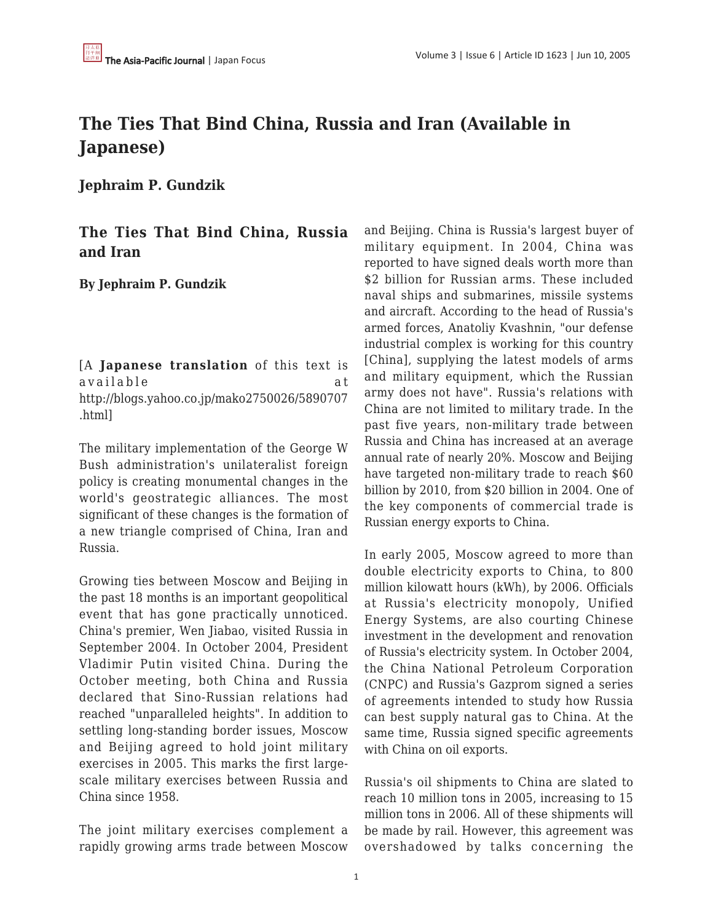## **The Ties That Bind China, Russia and Iran (Available in Japanese)**

**Jephraim P. Gundzik**

## **The Ties That Bind China, Russia and Iran**

**By Jephraim P. Gundzik**

[A **Japanese translation** of this text is available at http://blogs.yahoo.co.jp/mako2750026/5890707 .html]

The military implementation of the George W Bush administration's unilateralist foreign policy is creating monumental changes in the world's geostrategic alliances. The most significant of these changes is the formation of a new triangle comprised of China, Iran and Russia.

Growing ties between Moscow and Beijing in the past 18 months is an important geopolitical event that has gone practically unnoticed. China's premier, Wen Jiabao, visited Russia in September 2004. In October 2004, President Vladimir Putin visited China. During the October meeting, both China and Russia declared that Sino-Russian relations had reached "unparalleled heights". In addition to settling long-standing border issues, Moscow and Beijing agreed to hold joint military exercises in 2005. This marks the first largescale military exercises between Russia and China since 1958.

The joint military exercises complement a rapidly growing arms trade between Moscow and Beijing. China is Russia's largest buyer of military equipment. In 2004, China was reported to have signed deals worth more than \$2 billion for Russian arms. These included naval ships and submarines, missile systems and aircraft. According to the head of Russia's armed forces, Anatoliy Kvashnin, "our defense industrial complex is working for this country [China], supplying the latest models of arms and military equipment, which the Russian army does not have". Russia's relations with China are not limited to military trade. In the past five years, non-military trade between Russia and China has increased at an average annual rate of nearly 20%. Moscow and Beijing have targeted non-military trade to reach \$60 billion by 2010, from \$20 billion in 2004. One of the key components of commercial trade is Russian energy exports to China.

In early 2005, Moscow agreed to more than double electricity exports to China, to 800 million kilowatt hours (kWh), by 2006. Officials at Russia's electricity monopoly, Unified Energy Systems, are also courting Chinese investment in the development and renovation of Russia's electricity system. In October 2004, the China National Petroleum Corporation (CNPC) and Russia's Gazprom signed a series of agreements intended to study how Russia can best supply natural gas to China. At the same time, Russia signed specific agreements with China on oil exports.

Russia's oil shipments to China are slated to reach 10 million tons in 2005, increasing to 15 million tons in 2006. All of these shipments will be made by rail. However, this agreement was overshadowed by talks concerning the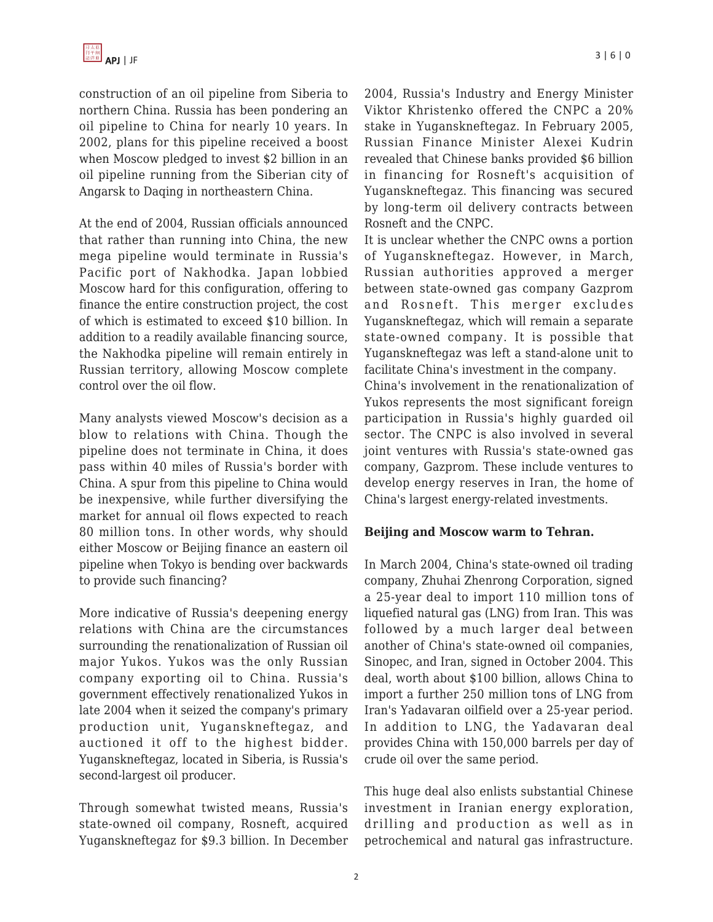construction of an oil pipeline from Siberia to northern China. Russia has been pondering an oil pipeline to China for nearly 10 years. In 2002, plans for this pipeline received a boost when Moscow pledged to invest \$2 billion in an oil pipeline running from the Siberian city of Angarsk to Daqing in northeastern China.

At the end of 2004, Russian officials announced that rather than running into China, the new mega pipeline would terminate in Russia's Pacific port of Nakhodka. Japan lobbied Moscow hard for this configuration, offering to finance the entire construction project, the cost of which is estimated to exceed \$10 billion. In addition to a readily available financing source, the Nakhodka pipeline will remain entirely in Russian territory, allowing Moscow complete control over the oil flow.

Many analysts viewed Moscow's decision as a blow to relations with China. Though the pipeline does not terminate in China, it does pass within 40 miles of Russia's border with China. A spur from this pipeline to China would be inexpensive, while further diversifying the market for annual oil flows expected to reach 80 million tons. In other words, why should either Moscow or Beijing finance an eastern oil pipeline when Tokyo is bending over backwards to provide such financing?

More indicative of Russia's deepening energy relations with China are the circumstances surrounding the renationalization of Russian oil major Yukos. Yukos was the only Russian company exporting oil to China. Russia's government effectively renationalized Yukos in late 2004 when it seized the company's primary production unit, Yuganskneftegaz, and auctioned it off to the highest bidder. Yuganskneftegaz, located in Siberia, is Russia's second-largest oil producer.

Through somewhat twisted means, Russia's state-owned oil company, Rosneft, acquired Yuganskneftegaz for \$9.3 billion. In December 2004, Russia's Industry and Energy Minister Viktor Khristenko offered the CNPC a 20% stake in Yuganskneftegaz. In February 2005, Russian Finance Minister Alexei Kudrin revealed that Chinese banks provided \$6 billion in financing for Rosneft's acquisition of Yuganskneftegaz. This financing was secured by long-term oil delivery contracts between Rosneft and the CNPC.

It is unclear whether the CNPC owns a portion of Yuganskneftegaz. However, in March, Russian authorities approved a merger between state-owned gas company Gazprom and Rosneft. This merger excludes Yuganskneftegaz, which will remain a separate state-owned company. It is possible that Yuganskneftegaz was left a stand-alone unit to facilitate China's investment in the company.

China's involvement in the renationalization of Yukos represents the most significant foreign participation in Russia's highly guarded oil sector. The CNPC is also involved in several joint ventures with Russia's state-owned gas company, Gazprom. These include ventures to develop energy reserves in Iran, the home of China's largest energy-related investments.

## **Beijing and Moscow warm to Tehran.**

In March 2004, China's state-owned oil trading company, Zhuhai Zhenrong Corporation, signed a 25-year deal to import 110 million tons of liquefied natural gas (LNG) from Iran. This was followed by a much larger deal between another of China's state-owned oil companies, Sinopec, and Iran, signed in October 2004. This deal, worth about \$100 billion, allows China to import a further 250 million tons of LNG from Iran's Yadavaran oilfield over a 25-year period. In addition to LNG, the Yadavaran deal provides China with 150,000 barrels per day of crude oil over the same period.

This huge deal also enlists substantial Chinese investment in Iranian energy exploration, drilling and production as well as in petrochemical and natural gas infrastructure.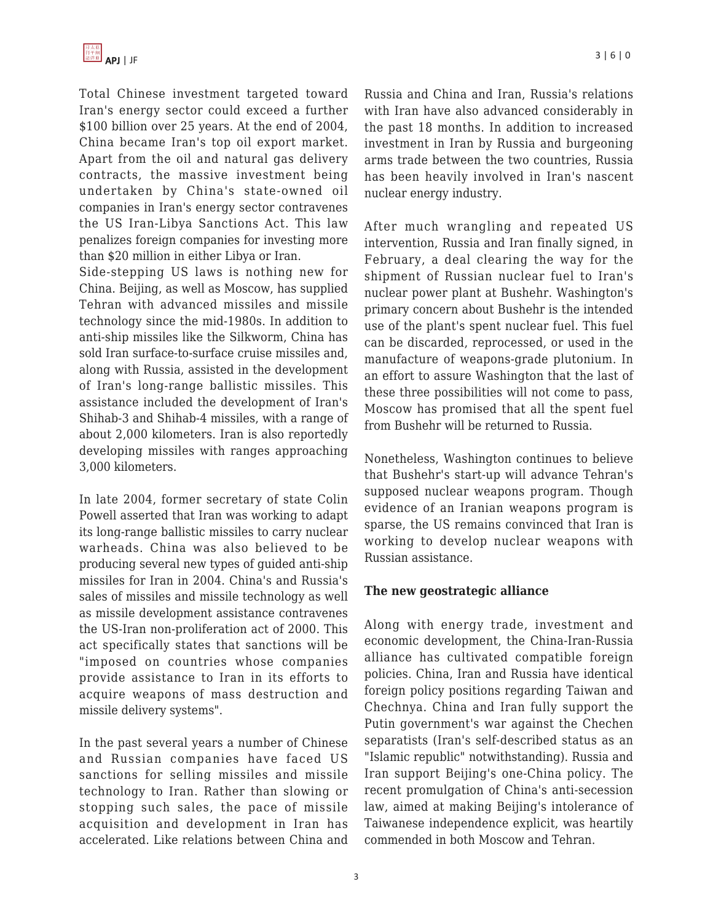Total Chinese investment targeted toward Iran's energy sector could exceed a further \$100 billion over 25 years. At the end of 2004, China became Iran's top oil export market. Apart from the oil and natural gas delivery contracts, the massive investment being undertaken by China's state-owned oil companies in Iran's energy sector contravenes the US Iran-Libya Sanctions Act. This law penalizes foreign companies for investing more than \$20 million in either Libya or Iran.

Side-stepping US laws is nothing new for China. Beijing, as well as Moscow, has supplied Tehran with advanced missiles and missile technology since the mid-1980s. In addition to anti-ship missiles like the Silkworm, China has sold Iran surface-to-surface cruise missiles and, along with Russia, assisted in the development of Iran's long-range ballistic missiles. This assistance included the development of Iran's Shihab-3 and Shihab-4 missiles, with a range of about 2,000 kilometers. Iran is also reportedly developing missiles with ranges approaching 3,000 kilometers.

In late 2004, former secretary of state Colin Powell asserted that Iran was working to adapt its long-range ballistic missiles to carry nuclear warheads. China was also believed to be producing several new types of guided anti-ship missiles for Iran in 2004. China's and Russia's sales of missiles and missile technology as well as missile development assistance contravenes the US-Iran non-proliferation act of 2000. This act specifically states that sanctions will be "imposed on countries whose companies provide assistance to Iran in its efforts to acquire weapons of mass destruction and missile delivery systems".

In the past several years a number of Chinese and Russian companies have faced US sanctions for selling missiles and missile technology to Iran. Rather than slowing or stopping such sales, the pace of missile acquisition and development in Iran has accelerated. Like relations between China and Russia and China and Iran, Russia's relations with Iran have also advanced considerably in the past 18 months. In addition to increased investment in Iran by Russia and burgeoning arms trade between the two countries, Russia has been heavily involved in Iran's nascent nuclear energy industry.

After much wrangling and repeated US intervention, Russia and Iran finally signed, in February, a deal clearing the way for the shipment of Russian nuclear fuel to Iran's nuclear power plant at Bushehr. Washington's primary concern about Bushehr is the intended use of the plant's spent nuclear fuel. This fuel can be discarded, reprocessed, or used in the manufacture of weapons-grade plutonium. In an effort to assure Washington that the last of these three possibilities will not come to pass, Moscow has promised that all the spent fuel from Bushehr will be returned to Russia.

Nonetheless, Washington continues to believe that Bushehr's start-up will advance Tehran's supposed nuclear weapons program. Though evidence of an Iranian weapons program is sparse, the US remains convinced that Iran is working to develop nuclear weapons with Russian assistance.

## **The new geostrategic alliance**

Along with energy trade, investment and economic development, the China-Iran-Russia alliance has cultivated compatible foreign policies. China, Iran and Russia have identical foreign policy positions regarding Taiwan and Chechnya. China and Iran fully support the Putin government's war against the Chechen separatists (Iran's self-described status as an "Islamic republic" notwithstanding). Russia and Iran support Beijing's one-China policy. The recent promulgation of China's anti-secession law, aimed at making Beijing's intolerance of Taiwanese independence explicit, was heartily commended in both Moscow and Tehran.